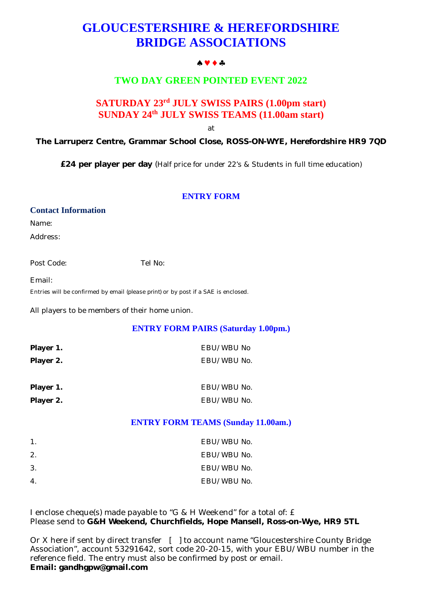# **GLOUCESTERSHIRE & HEREFORDSHIRE BRIDGE ASSOCIATIONS**

#### $A \vee A$

# **TWO DAY GREEN POINTED EVENT 2022**

# **SATURDAY 23rd JULY SWISS PAIRS (1.00pm start) SUNDAY 24 th JULY SWISS TEAMS (11.00am start)**

at

**The Larruperz Centre, Grammar School Close, ROSS-ON-WYE, Herefordshire HR9 7QD**

**£24 per player per day** (Half price for under 22's & Students in full time education)

## **ENTRY FORM**

#### **Contact Information**

Name:

Address:

Post Code: Tel No:

Email:

Entries will be confirmed by email *(please print)* or by post if a SAE is enclosed.

All players to be members of their home union.

## **ENTRY FORM PAIRS (Saturday 1.00pm.)**

| Player 1. | EBU/WBU No  |
|-----------|-------------|
| Player 2. | EBU/WBU No. |
| Player 1. | EBU/WBU No. |
| Player 2. | EBU/WBU No. |

## **ENTRY FORM TEAMS (Sunday 11.00am.)**

| $\mathbf{1}$ .   | EBU/WBU No. |
|------------------|-------------|
| 2.               | EBU/WBU No. |
| 3.               | EBU/WBU No. |
| $\overline{4}$ . | EBU/WBU No. |

I enclose cheque(s) made payable to "G & H Weekend" for a total of: £ Please send to **G&H Weekend, Churchfields, Hope Mansell, Ross-on-Wye, HR9 5TL**

Or X here if sent by direct transfer [ ] to account name "Gloucestershire County Bridge Association", account 53291642, sort code 20-20-15, with your EBU/WBU number in the reference field. The entry must also be confirmed by post or email. **Email: [gandhgpw@gmail.com](mailto:gandhgpw@gmail.com)**